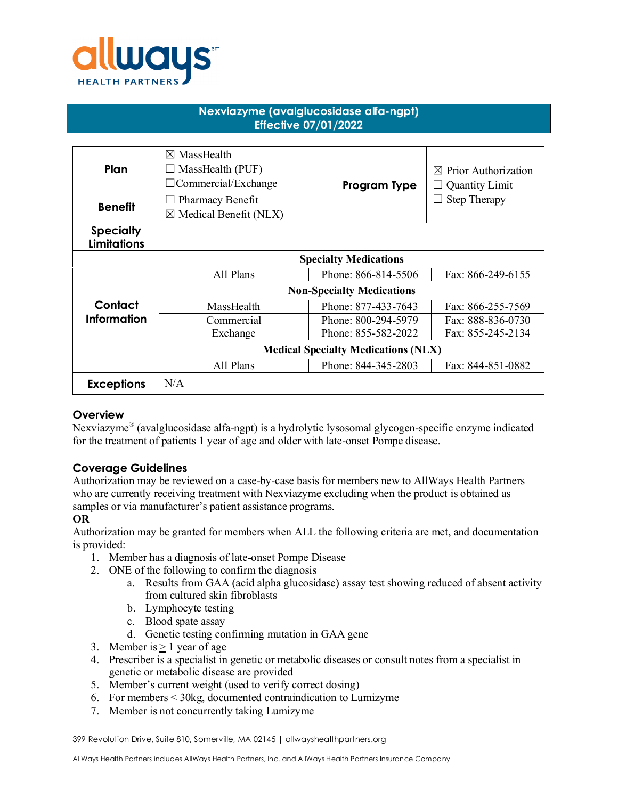

# **Nexviazyme (avalglucosidase alfa-ngpt) Effective 07/01/2022**

| Plan                                   | $\boxtimes$ MassHealth<br>$\Box$ MassHealth (PUF)<br>$\Box$ Commercial/Exchange | Program Type        | $\boxtimes$ Prior Authorization<br><b>Quantity Limit</b> |
|----------------------------------------|---------------------------------------------------------------------------------|---------------------|----------------------------------------------------------|
| <b>Benefit</b>                         | $\Box$ Pharmacy Benefit<br>$\boxtimes$ Medical Benefit (NLX)                    |                     | Step Therapy                                             |
| <b>Specialty</b><br><b>Limitations</b> |                                                                                 |                     |                                                          |
|                                        | <b>Specialty Medications</b>                                                    |                     |                                                          |
|                                        | All Plans                                                                       | Phone: 866-814-5506 | Fax: 866-249-6155                                        |
|                                        | <b>Non-Specialty Medications</b>                                                |                     |                                                          |
| Contact                                | MassHealth                                                                      | Phone: 877-433-7643 | Fax: 866-255-7569                                        |
| Information                            | Commercial                                                                      | Phone: 800-294-5979 | Fax: 888-836-0730                                        |
|                                        | Exchange                                                                        | Phone: 855-582-2022 | Fax: 855-245-2134                                        |
|                                        | <b>Medical Specialty Medications (NLX)</b>                                      |                     |                                                          |
|                                        | All Plans                                                                       | Phone: 844-345-2803 | Fax: 844-851-0882                                        |
| <b>Exceptions</b>                      | N/A                                                                             |                     |                                                          |

### **Overview**

Nexviazyme® (avalglucosidase alfa-ngpt) is a hydrolytic lysosomal glycogen-specific enzyme indicated for the treatment of patients 1 year of age and older with late-onset Pompe disease.

# **Coverage Guidelines**

Authorization may be reviewed on a case-by-case basis for members new to AllWays Health Partners who are currently receiving treatment with Nexviazyme excluding when the product is obtained as samples or via manufacturer's patient assistance programs.

### **OR**

Authorization may be granted for members when ALL the following criteria are met, and documentation is provided:

- 1. Member has a diagnosis of late-onset Pompe Disease
- 2. ONE of the following to confirm the diagnosis
	- a. Results from GAA (acid alpha glucosidase) assay test showing reduced of absent activity from cultured skin fibroblasts
	- b. Lymphocyte testing
	- c. Blood spate assay
	- d. Genetic testing confirming mutation in GAA gene
- 3. Member is  $> 1$  year of age
- 4. Prescriber is a specialist in genetic or metabolic diseases or consult notes from a specialist in genetic or metabolic disease are provided
- 5. Member's current weight (used to verify correct dosing)
- 6. For members < 30kg, documented contraindication to Lumizyme
- 7. Member is not concurrently taking Lumizyme

399 Revolution Drive, Suite 810, Somerville, MA 02145 | allwayshealthpartners.org